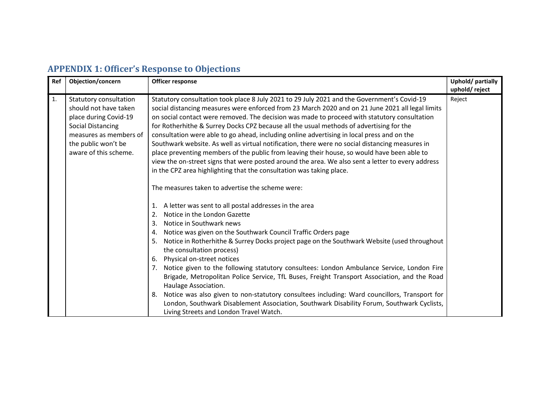## APPENDIX 1: Officer's Response to Objections

| Ref | Objection/concern                                                                                                                                                              | Officer response                                                                                                                                                                                                                                                                                                                                                                                                                                                                                                                                                                                                                                                                                                                                                                                                                                                                                                                                                                                                                                                                                                                                                                                                                                                                                                                                                                                                                                                                                                                                                                                                                                                                                                                                                                     | Uphold/partially<br>uphold/reject |
|-----|--------------------------------------------------------------------------------------------------------------------------------------------------------------------------------|--------------------------------------------------------------------------------------------------------------------------------------------------------------------------------------------------------------------------------------------------------------------------------------------------------------------------------------------------------------------------------------------------------------------------------------------------------------------------------------------------------------------------------------------------------------------------------------------------------------------------------------------------------------------------------------------------------------------------------------------------------------------------------------------------------------------------------------------------------------------------------------------------------------------------------------------------------------------------------------------------------------------------------------------------------------------------------------------------------------------------------------------------------------------------------------------------------------------------------------------------------------------------------------------------------------------------------------------------------------------------------------------------------------------------------------------------------------------------------------------------------------------------------------------------------------------------------------------------------------------------------------------------------------------------------------------------------------------------------------------------------------------------------------|-----------------------------------|
| 1.  | Statutory consultation<br>should not have taken<br>place during Covid-19<br><b>Social Distancing</b><br>measures as members of<br>the public won't be<br>aware of this scheme. | Statutory consultation took place 8 July 2021 to 29 July 2021 and the Government's Covid-19<br>social distancing measures were enforced from 23 March 2020 and on 21 June 2021 all legal limits<br>on social contact were removed. The decision was made to proceed with statutory consultation<br>for Rotherhithe & Surrey Docks CPZ because all the usual methods of advertising for the<br>consultation were able to go ahead, including online advertising in local press and on the<br>Southwark website. As well as virtual notification, there were no social distancing measures in<br>place preventing members of the public from leaving their house, so would have been able to<br>view the on-street signs that were posted around the area. We also sent a letter to every address<br>in the CPZ area highlighting that the consultation was taking place.<br>The measures taken to advertise the scheme were:<br>A letter was sent to all postal addresses in the area<br>1.<br>Notice in the London Gazette<br>2.<br>Notice in Southwark news<br>3.<br>Notice was given on the Southwark Council Traffic Orders page<br>4.<br>Notice in Rotherhithe & Surrey Docks project page on the Southwark Website (used throughout<br>5.<br>the consultation process)<br>Physical on-street notices<br>-6.<br>Notice given to the following statutory consultees: London Ambulance Service, London Fire<br>Brigade, Metropolitan Police Service, TfL Buses, Freight Transport Association, and the Road<br>Haulage Association.<br>Notice was also given to non-statutory consultees including: Ward councillors, Transport for<br>8.<br>London, Southwark Disablement Association, Southwark Disability Forum, Southwark Cyclists,<br>Living Streets and London Travel Watch. | Reject                            |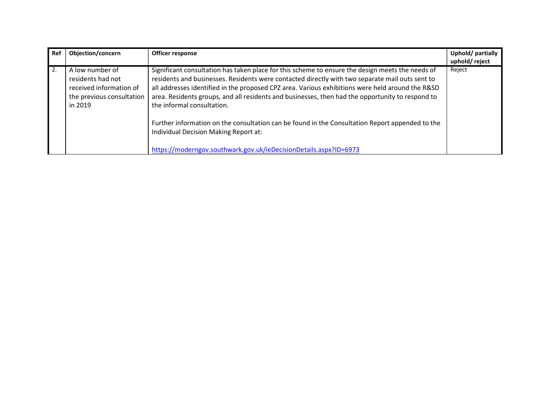| Ref | Objection/concern                                                                                       | Officer response                                                                                                                                                                                                                                                                                                                                                                                                                          | Uphold/partially<br>uphold/reject |
|-----|---------------------------------------------------------------------------------------------------------|-------------------------------------------------------------------------------------------------------------------------------------------------------------------------------------------------------------------------------------------------------------------------------------------------------------------------------------------------------------------------------------------------------------------------------------------|-----------------------------------|
| 2.  | A low number of<br>residents had not<br>received information of<br>the previous consultation<br>in 2019 | Significant consultation has taken place for this scheme to ensure the design meets the needs of<br>residents and businesses. Residents were contacted directly with two separate mail outs sent to<br>all addresses identified in the proposed CPZ area. Various exhibitions were held around the R&SD<br>area. Residents groups, and all residents and businesses, then had the opportunity to respond to<br>the informal consultation. | Reject                            |
|     |                                                                                                         | Further information on the consultation can be found in the Consultation Report appended to the<br>Individual Decision Making Report at:<br>https://moderngov.southwark.gov.uk/ieDecisionDetails.aspx?ID=6973                                                                                                                                                                                                                             |                                   |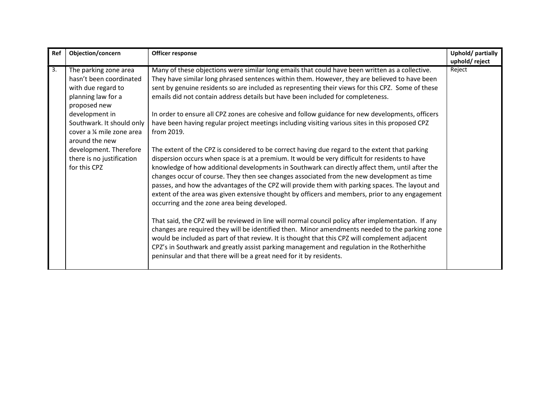| Ref              | Objection/concern                                                                                                                                                                                                                                                                  | Officer response                                                                                                                                                                                                                                                                                                                                                                                                                                                                                                                                                                                                                                                                                                                                                                                                                                                                                                                                                                                                                                                                                                                                                                                                                                                                                                                                                                                                                                                                                                                                                                                                                                                                                                                                         | Uphold/partially        |
|------------------|------------------------------------------------------------------------------------------------------------------------------------------------------------------------------------------------------------------------------------------------------------------------------------|----------------------------------------------------------------------------------------------------------------------------------------------------------------------------------------------------------------------------------------------------------------------------------------------------------------------------------------------------------------------------------------------------------------------------------------------------------------------------------------------------------------------------------------------------------------------------------------------------------------------------------------------------------------------------------------------------------------------------------------------------------------------------------------------------------------------------------------------------------------------------------------------------------------------------------------------------------------------------------------------------------------------------------------------------------------------------------------------------------------------------------------------------------------------------------------------------------------------------------------------------------------------------------------------------------------------------------------------------------------------------------------------------------------------------------------------------------------------------------------------------------------------------------------------------------------------------------------------------------------------------------------------------------------------------------------------------------------------------------------------------------|-------------------------|
| $\overline{3}$ . | The parking zone area<br>hasn't been coordinated<br>with due regard to<br>planning law for a<br>proposed new<br>development in<br>Southwark. It should only<br>cover a 1/4 mile zone area<br>around the new<br>development. Therefore<br>there is no justification<br>for this CPZ | Many of these objections were similar long emails that could have been written as a collective.<br>They have similar long phrased sentences within them. However, they are believed to have been<br>sent by genuine residents so are included as representing their views for this CPZ. Some of these<br>emails did not contain address details but have been included for completeness.<br>In order to ensure all CPZ zones are cohesive and follow guidance for new developments, officers<br>have been having regular project meetings including visiting various sites in this proposed CPZ<br>from 2019.<br>The extent of the CPZ is considered to be correct having due regard to the extent that parking<br>dispersion occurs when space is at a premium. It would be very difficult for residents to have<br>knowledge of how additional developments in Southwark can directly affect them, until after the<br>changes occur of course. They then see changes associated from the new development as time<br>passes, and how the advantages of the CPZ will provide them with parking spaces. The layout and<br>extent of the area was given extensive thought by officers and members, prior to any engagement<br>occurring and the zone area being developed.<br>That said, the CPZ will be reviewed in line will normal council policy after implementation. If any<br>changes are required they will be identified then. Minor amendments needed to the parking zone<br>would be included as part of that review. It is thought that this CPZ will complement adjacent<br>CPZ's in Southwark and greatly assist parking management and regulation in the Rotherhithe<br>peninsular and that there will be a great need for it by residents. | uphold/reject<br>Reject |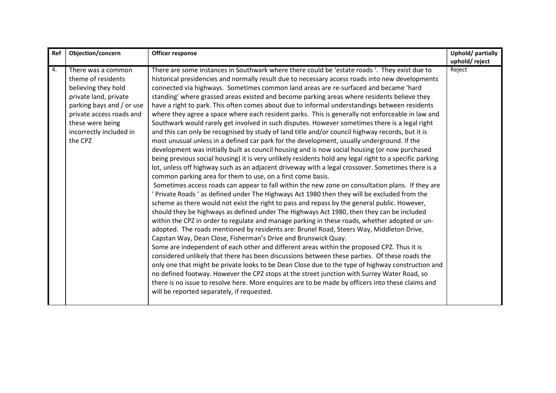| Ref | Objection/concern                                                                                                                                                                                           | Officer response                                                                                                                                                                                                                                                                                                                                                                                                                                                                                                                                                                                                                                                                                                                                                                                                                                                                                                                                                                                                                                                                                                                                                                                                                                                                                                                                                                                                                                                                                                                                                                                                                                                                                                                                                                                                                                                                                                                                                                                                                                                                                                                                                                                                                                                                                                                                                                                                                                                                                        | Uphold/partially<br>uphold/reject |
|-----|-------------------------------------------------------------------------------------------------------------------------------------------------------------------------------------------------------------|---------------------------------------------------------------------------------------------------------------------------------------------------------------------------------------------------------------------------------------------------------------------------------------------------------------------------------------------------------------------------------------------------------------------------------------------------------------------------------------------------------------------------------------------------------------------------------------------------------------------------------------------------------------------------------------------------------------------------------------------------------------------------------------------------------------------------------------------------------------------------------------------------------------------------------------------------------------------------------------------------------------------------------------------------------------------------------------------------------------------------------------------------------------------------------------------------------------------------------------------------------------------------------------------------------------------------------------------------------------------------------------------------------------------------------------------------------------------------------------------------------------------------------------------------------------------------------------------------------------------------------------------------------------------------------------------------------------------------------------------------------------------------------------------------------------------------------------------------------------------------------------------------------------------------------------------------------------------------------------------------------------------------------------------------------------------------------------------------------------------------------------------------------------------------------------------------------------------------------------------------------------------------------------------------------------------------------------------------------------------------------------------------------------------------------------------------------------------------------------------------------|-----------------------------------|
| 4.  | There was a common<br>theme of residents<br>believing they hold<br>private land, private<br>parking bays and / or use<br>private access roads and<br>these were being<br>incorrectly included in<br>the CPZ | There are some instances in Southwark where there could be 'estate roads '. They exist due to<br>historical presidencies and normally result due to necessary access roads into new developments<br>connected via highways. Sometimes common land areas are re-surfaced and became 'hard<br>standing' where grassed areas existed and become parking areas where residents believe they<br>have a right to park. This often comes about due to informal understandings between residents<br>where they agree a space where each resident parks. This is generally not enforceable in law and<br>Southwark would rarely get involved in such disputes. However sometimes there is a legal right<br>and this can only be recognised by study of land title and/or council highway records, but it is<br>most unusual unless in a defined car park for the development, usually underground. If the<br>development was initially built as council housing and is now social housing (or now purchased<br>being previous social housing) it is very unlikely residents hold any legal right to a specific parking<br>lot, unless off highway such as an adjacent driveway with a legal crossover. Sometimes there is a<br>common parking area for them to use, on a first come basis.<br>Sometimes access roads can appear to fall within the new zone on consultation plans. If they are<br>' Private Roads ' as defined under The Highways Act 1980 then they will be excluded from the<br>scheme as there would not exist the right to pass and repass by the general public. However,<br>should they be highways as defined under The Highways Act 1980, then they can be included<br>within the CPZ in order to regulate and manage parking in these roads, whether adopted or un-<br>adopted. The roads mentioned by residents are: Brunel Road, Steers Way, Middleton Drive,<br>Capstan Way, Dean Close, Fisherman's Drive and Brunswick Quay.<br>Some are independent of each other and different areas within the proposed CPZ. Thus it is<br>considered unlikely that there has been discussions between these parties. Of these roads the<br>only one that might be private looks to be Dean Close due to the type of highway construction and<br>no defined footway. However the CPZ stops at the street junction with Surrey Water Road, so<br>there is no issue to resolve here. More enquires are to be made by officers into these claims and<br>will be reported separately, if requested. | Reject                            |